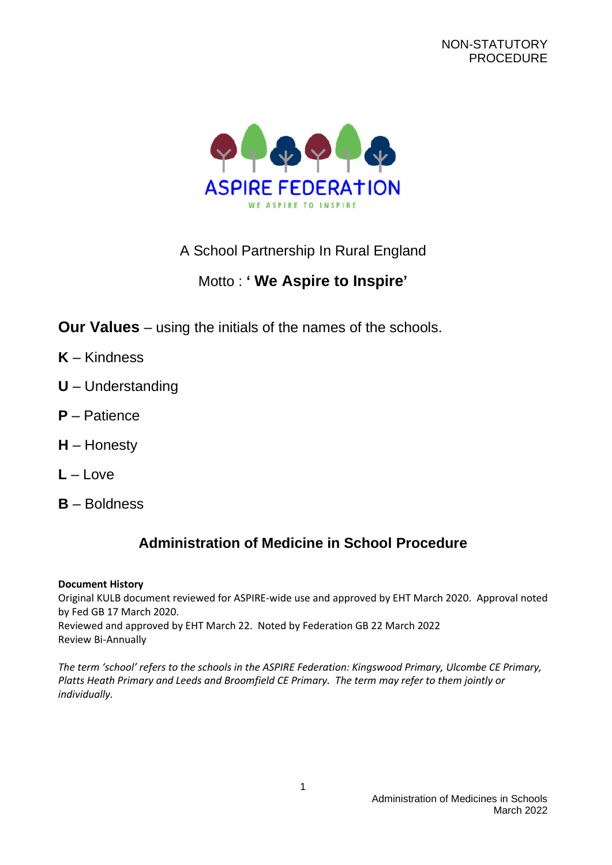

# A School Partnership In Rural England

# Motto : **' We Aspire to Inspire'**

**Our Values** – using the initials of the names of the schools.

- **K** Kindness
- **U** Understanding
- **P** Patience
- **H** Honesty
- **L** Love
- **B** Boldness

# **Administration of Medicine in School Procedure**

#### **Document History**

Original KULB document reviewed for ASPIRE-wide use and approved by EHT March 2020. Approval noted by Fed GB 17 March 2020. Reviewed and approved by EHT March 22. Noted by Federation GB 22 March 2022 Review Bi-Annually

*The term 'school' refers to the schools in the ASPIRE Federation: Kingswood Primary, Ulcombe CE Primary, Platts Heath Primary and Leeds and Broomfield CE Primary. The term may refer to them jointly or individually.*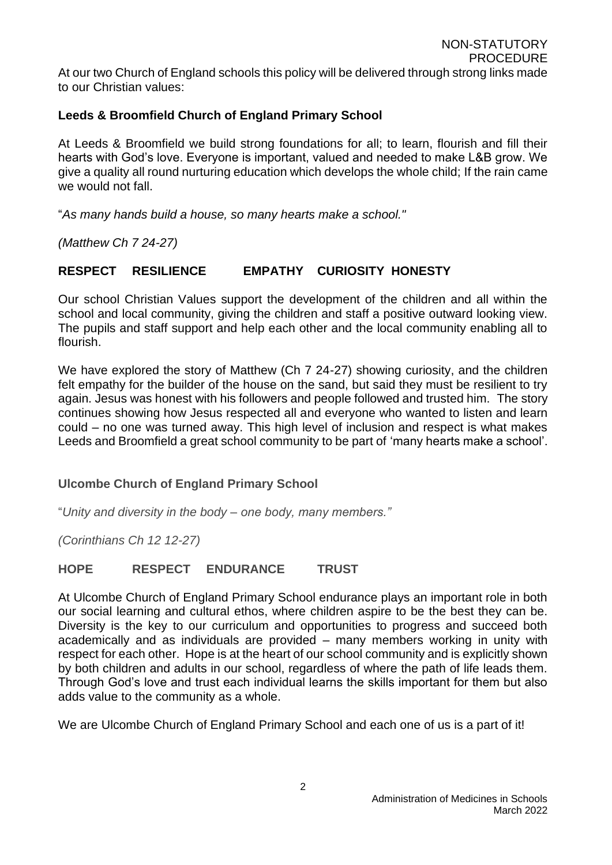At our two Church of England schools this policy will be delivered through strong links made to our Christian values:

### **Leeds & Broomfield Church of England Primary School**

At Leeds & Broomfield we build strong foundations for all; to learn, flourish and fill their hearts with God's love. Everyone is important, valued and needed to make L&B grow. We give a quality all round nurturing education which develops the whole child; If the rain came we would not fall.

"*As many hands build a house, so many hearts make a school."*

*(Matthew Ch 7 24-27)*

### **RESPECT RESILIENCE EMPATHY CURIOSITY HONESTY**

Our school Christian Values support the development of the children and all within the school and local community, giving the children and staff a positive outward looking view. The pupils and staff support and help each other and the local community enabling all to flourish.

We have explored the story of Matthew (Ch 7 24-27) showing curiosity, and the children felt empathy for the builder of the house on the sand, but said they must be resilient to try again. Jesus was honest with his followers and people followed and trusted him. The story continues showing how Jesus respected all and everyone who wanted to listen and learn could – no one was turned away. This high level of inclusion and respect is what makes Leeds and Broomfield a great school community to be part of 'many hearts make a school'.

#### **Ulcombe Church of England Primary School**

"*Unity and diversity in the body – one body, many members."*

*(Corinthians Ch 12 12-27)*

#### **HOPE RESPECT ENDURANCE TRUST**

At Ulcombe Church of England Primary School endurance plays an important role in both our social learning and cultural ethos, where children aspire to be the best they can be. Diversity is the key to our curriculum and opportunities to progress and succeed both academically and as individuals are provided – many members working in unity with respect for each other. Hope is at the heart of our school community and is explicitly shown by both children and adults in our school, regardless of where the path of life leads them. Through God's love and trust each individual learns the skills important for them but also adds value to the community as a whole.

We are Ulcombe Church of England Primary School and each one of us is a part of it!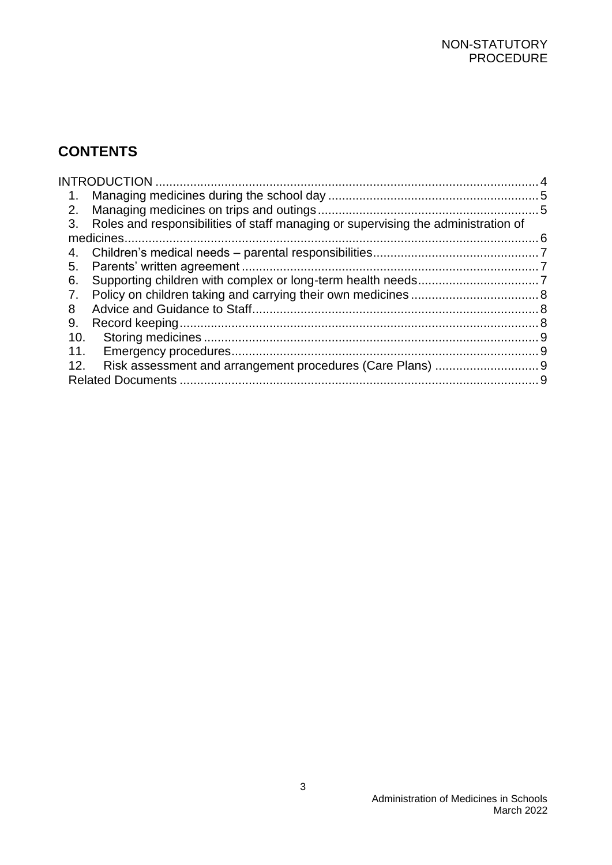# **CONTENTS**

| $1_{\cdot}$ |                                                                                   |  |
|-------------|-----------------------------------------------------------------------------------|--|
| 2.          |                                                                                   |  |
| 3.          | Roles and responsibilities of staff managing or supervising the administration of |  |
|             |                                                                                   |  |
|             |                                                                                   |  |
| 5.          |                                                                                   |  |
| 6.          |                                                                                   |  |
| 7.          |                                                                                   |  |
| 8           |                                                                                   |  |
| 9.          |                                                                                   |  |
| 10.         |                                                                                   |  |
| 11.         |                                                                                   |  |
| 12.         |                                                                                   |  |
|             |                                                                                   |  |
|             |                                                                                   |  |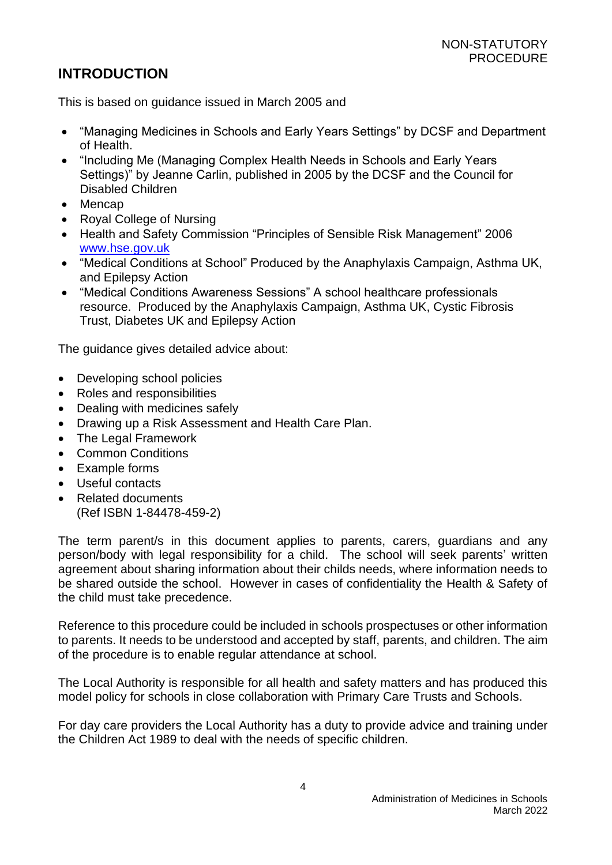## <span id="page-3-0"></span>**INTRODUCTION**

This is based on guidance issued in March 2005 and

- "Managing Medicines in Schools and Early Years Settings" by DCSF and Department of Health.
- "Including Me (Managing Complex Health Needs in Schools and Early Years Settings)" by Jeanne Carlin, published in 2005 by the DCSF and the Council for Disabled Children
- Mencap
- Royal College of Nursing
- Health and Safety Commission "Principles of Sensible Risk Management" 2006 [www.hse.gov.uk](http://www.hse.gov.uk/)
- "Medical Conditions at School" Produced by the Anaphylaxis Campaign, Asthma UK, and Epilepsy Action
- "Medical Conditions Awareness Sessions" A school healthcare professionals resource. Produced by the Anaphylaxis Campaign, Asthma UK, Cystic Fibrosis Trust, Diabetes UK and Epilepsy Action

The guidance gives detailed advice about:

- Developing school policies
- Roles and responsibilities
- Dealing with medicines safely
- Drawing up a Risk Assessment and Health Care Plan.
- The Legal Framework
- Common Conditions
- Example forms
- Useful contacts
- Related documents (Ref ISBN 1-84478-459-2)

The term parent/s in this document applies to parents, carers, guardians and any person/body with legal responsibility for a child. The school will seek parents' written agreement about sharing information about their childs needs, where information needs to be shared outside the school. However in cases of confidentiality the Health & Safety of the child must take precedence.

Reference to this procedure could be included in schools prospectuses or other information to parents. It needs to be understood and accepted by staff, parents, and children. The aim of the procedure is to enable regular attendance at school.

The Local Authority is responsible for all health and safety matters and has produced this model policy for schools in close collaboration with Primary Care Trusts and Schools.

For day care providers the Local Authority has a duty to provide advice and training under the Children Act 1989 to deal with the needs of specific children.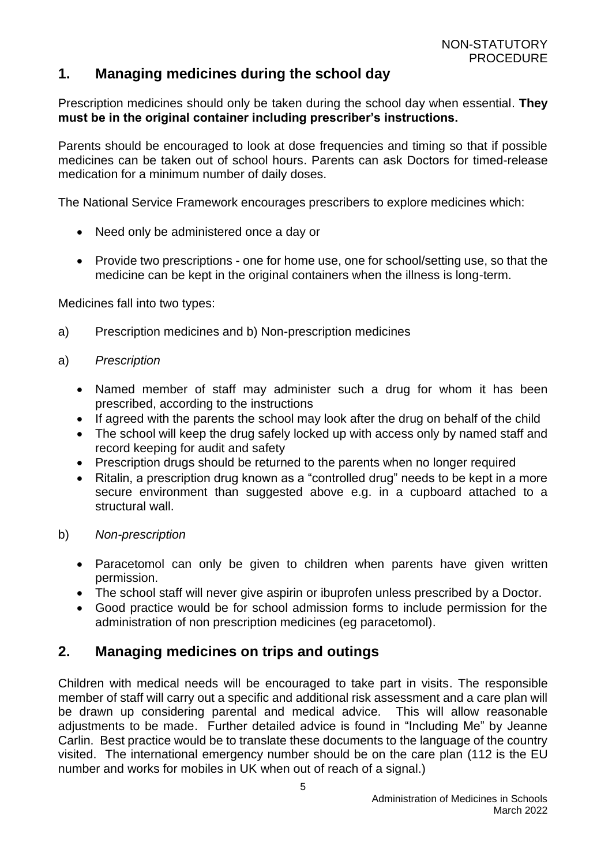## <span id="page-4-0"></span>**1. Managing medicines during the school day**

Prescription medicines should only be taken during the school day when essential. **They must be in the original container including prescriber's instructions.**

Parents should be encouraged to look at dose frequencies and timing so that if possible medicines can be taken out of school hours. Parents can ask Doctors for timed-release medication for a minimum number of daily doses.

The National Service Framework encourages prescribers to explore medicines which:

- Need only be administered once a day or
- Provide two prescriptions one for home use, one for school/setting use, so that the medicine can be kept in the original containers when the illness is long-term.

Medicines fall into two types:

a) Prescription medicines and b) Non-prescription medicines

#### a) *Prescription*

- Named member of staff may administer such a drug for whom it has been prescribed, according to the instructions
- If agreed with the parents the school may look after the drug on behalf of the child
- The school will keep the drug safely locked up with access only by named staff and record keeping for audit and safety
- Prescription drugs should be returned to the parents when no longer required
- Ritalin, a prescription drug known as a "controlled drug" needs to be kept in a more secure environment than suggested above e.g. in a cupboard attached to a structural wall.
- b) *Non-prescription*
	- Paracetomol can only be given to children when parents have given written permission.
	- The school staff will never give aspirin or ibuprofen unless prescribed by a Doctor.
	- Good practice would be for school admission forms to include permission for the administration of non prescription medicines (eg paracetomol).

## <span id="page-4-1"></span>**2. Managing medicines on trips and outings**

Children with medical needs will be encouraged to take part in visits. The responsible member of staff will carry out a specific and additional risk assessment and a care plan will be drawn up considering parental and medical advice. This will allow reasonable adjustments to be made. Further detailed advice is found in "Including Me" by Jeanne Carlin. Best practice would be to translate these documents to the language of the country visited. The international emergency number should be on the care plan (112 is the EU number and works for mobiles in UK when out of reach of a signal.)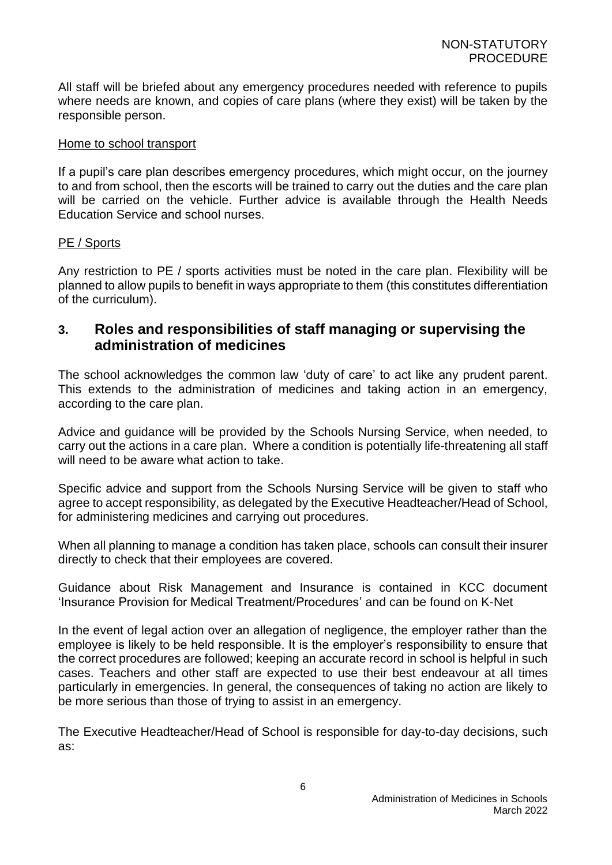All staff will be briefed about any emergency procedures needed with reference to pupils where needs are known, and copies of care plans (where they exist) will be taken by the responsible person.

#### Home to school transport

If a pupil's care plan describes emergency procedures, which might occur, on the journey to and from school, then the escorts will be trained to carry out the duties and the care plan will be carried on the vehicle. Further advice is available through the Health Needs Education Service and school nurses.

#### PE / Sports

Any restriction to PE / sports activities must be noted in the care plan. Flexibility will be planned to allow pupils to benefit in ways appropriate to them (this constitutes differentiation of the curriculum).

### <span id="page-5-0"></span>**3. Roles and responsibilities of staff managing or supervising the administration of medicines**

The school acknowledges the common law 'duty of care' to act like any prudent parent. This extends to the administration of medicines and taking action in an emergency, according to the care plan.

Advice and guidance will be provided by the Schools Nursing Service, when needed, to carry out the actions in a care plan. Where a condition is potentially life-threatening all staff will need to be aware what action to take.

Specific advice and support from the Schools Nursing Service will be given to staff who agree to accept responsibility, as delegated by the Executive Headteacher/Head of School, for administering medicines and carrying out procedures.

When all planning to manage a condition has taken place, schools can consult their insurer directly to check that their employees are covered.

Guidance about Risk Management and Insurance is contained in KCC document 'Insurance Provision for Medical Treatment/Procedures' and can be found on K-Net

In the event of legal action over an allegation of negligence, the employer rather than the employee is likely to be held responsible. It is the employer's responsibility to ensure that the correct procedures are followed; keeping an accurate record in school is helpful in such cases. Teachers and other staff are expected to use their best endeavour at all times particularly in emergencies. In general, the consequences of taking no action are likely to be more serious than those of trying to assist in an emergency.

The Executive Headteacher/Head of School is responsible for day-to-day decisions, such as: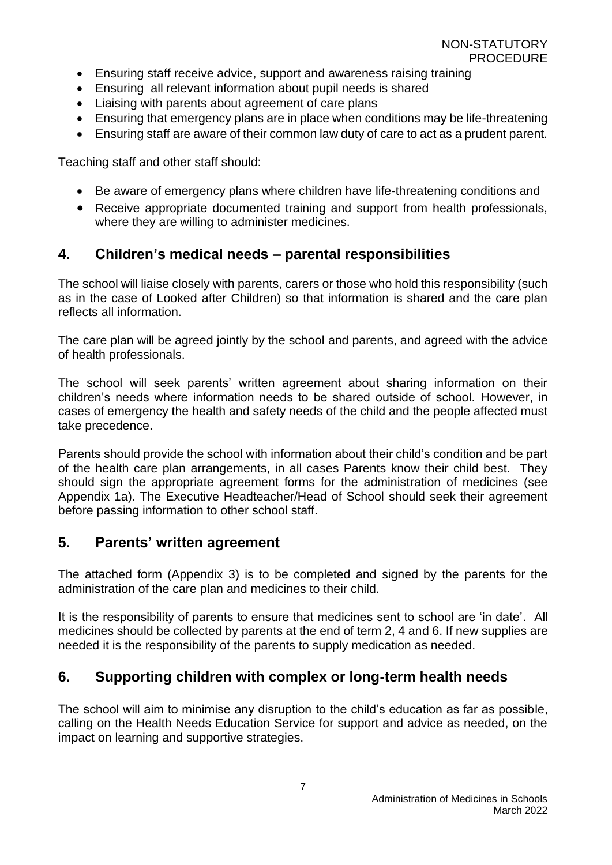- Ensuring staff receive advice, support and awareness raising training
- Ensuring all relevant information about pupil needs is shared
- Liaising with parents about agreement of care plans
- Ensuring that emergency plans are in place when conditions may be life-threatening
- Ensuring staff are aware of their common law duty of care to act as a prudent parent.

Teaching staff and other staff should:

- Be aware of emergency plans where children have life-threatening conditions and
- Receive appropriate documented training and support from health professionals, where they are willing to administer medicines.

## <span id="page-6-0"></span>**4. Children's medical needs – parental responsibilities**

The school will liaise closely with parents, carers or those who hold this responsibility (such as in the case of Looked after Children) so that information is shared and the care plan reflects all information.

The care plan will be agreed jointly by the school and parents, and agreed with the advice of health professionals.

The school will seek parents' written agreement about sharing information on their children's needs where information needs to be shared outside of school. However, in cases of emergency the health and safety needs of the child and the people affected must take precedence.

Parents should provide the school with information about their child's condition and be part of the health care plan arrangements, in all cases Parents know their child best. They should sign the appropriate agreement forms for the administration of medicines (see Appendix 1a). The Executive Headteacher/Head of School should seek their agreement before passing information to other school staff.

## <span id="page-6-1"></span>**5. Parents' written agreement**

The attached form (Appendix 3) is to be completed and signed by the parents for the administration of the care plan and medicines to their child.

It is the responsibility of parents to ensure that medicines sent to school are 'in date'. All medicines should be collected by parents at the end of term 2, 4 and 6. If new supplies are needed it is the responsibility of the parents to supply medication as needed.

## <span id="page-6-2"></span>**6. Supporting children with complex or long-term health needs**

The school will aim to minimise any disruption to the child's education as far as possible, calling on the Health Needs Education Service for support and advice as needed, on the impact on learning and supportive strategies.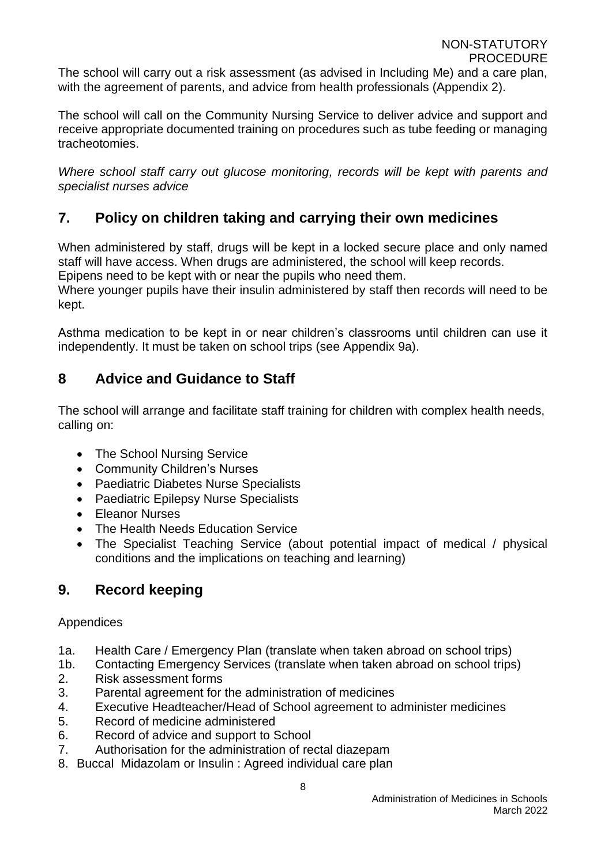The school will carry out a risk assessment (as advised in Including Me) and a care plan, with the agreement of parents, and advice from health professionals (Appendix 2).

The school will call on the Community Nursing Service to deliver advice and support and receive appropriate documented training on procedures such as tube feeding or managing tracheotomies.

*Where school staff carry out glucose monitoring, records will be kept with parents and specialist nurses advice*

## <span id="page-7-0"></span>**7. Policy on children taking and carrying their own medicines**

When administered by staff, drugs will be kept in a locked secure place and only named staff will have access. When drugs are administered, the school will keep records.

Epipens need to be kept with or near the pupils who need them.

Where younger pupils have their insulin administered by staff then records will need to be kept.

Asthma medication to be kept in or near children's classrooms until children can use it independently. It must be taken on school trips (see Appendix 9a).

## <span id="page-7-1"></span>**8 Advice and Guidance to Staff**

The school will arrange and facilitate staff training for children with complex health needs, calling on:

- The School Nursing Service
- Community Children's Nurses
- Paediatric Diabetes Nurse Specialists
- Paediatric Epilepsy Nurse Specialists
- Eleanor Nurses
- The Health Needs Education Service
- The Specialist Teaching Service (about potential impact of medical / physical conditions and the implications on teaching and learning)

## <span id="page-7-2"></span>**9. Record keeping**

### Appendices

- 1a. Health Care / Emergency Plan (translate when taken abroad on school trips)
- 1b. Contacting Emergency Services (translate when taken abroad on school trips)
- 2. Risk assessment forms
- 3. Parental agreement for the administration of medicines
- 4. Executive Headteacher/Head of School agreement to administer medicines
- 5. Record of medicine administered
- 6. Record of advice and support to School
- 7. Authorisation for the administration of rectal diazepam
- 8. Buccal Midazolam or Insulin : Agreed individual care plan